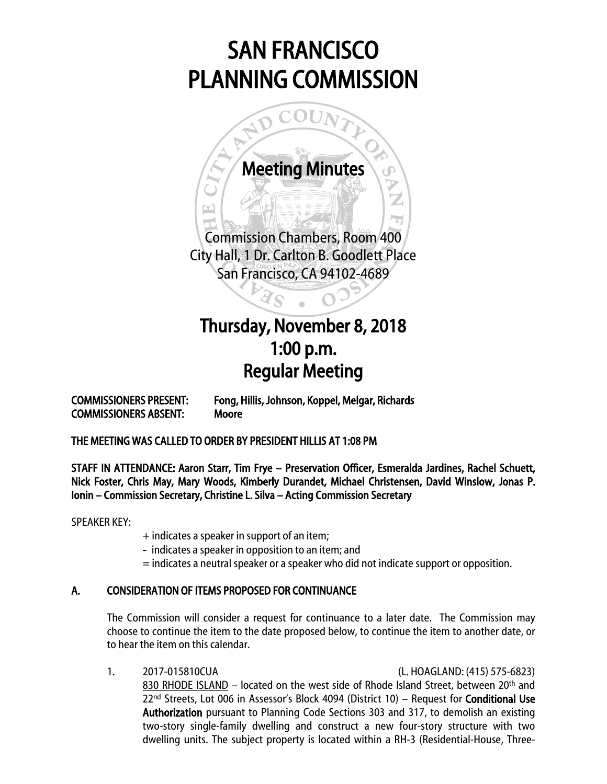# SAN FRANCISCO PLANNING COMMISSION



ويردا

 $\overline{\phantom{a}}$ 

Commission Chambers, Room 400 City Hall, 1 Dr. Carlton B. Goodlett Place San Francisco, CA 94102-4689

Ï

 $\varsigma$ 

## $\begin{array}{c} \hline \end{array}$ Thursday, November 8, 2018 1:00 p.m. Regular Meeting

COMMISSIONERS ABSENT: Moore

COMMISSIONERS PRESENT: Fong, Hillis, Johnson, Koppel, Melgar, Richards

THE MEETING WAS CALLED TO ORDER BY PRESIDENT HILLIS AT 1:08 PM

STAFF IN ATTENDANCE: Aaron Starr, Tim Frye – Preservation Officer, Esmeralda Jardines, Rachel Schuett, Nick Foster, Chris May, Mary Woods, Kimberly Durandet, Michael Christensen, David Winslow, Jonas P. Ionin – Commission Secretary, Christine L. Silva – Acting Commission Secretary

SPEAKER KEY:

- + indicates a speaker in support of an item;
- indicates a speaker in opposition to an item; and
- = indicates a neutral speaker or a speaker who did not indicate support or opposition.

### A. CONSIDERATION OF ITEMS PROPOSED FOR CONTINUANCE

The Commission will consider a request for continuance to a later date. The Commission may choose to continue the item to the date proposed below, to continue the item to another date, or to hear the item on this calendar.

1. 2017-015810CUA (L. HOAGLAND: (415) 575-6823) 830 RHODE ISLAND - located on the west side of Rhode Island Street, between 20<sup>th</sup> and 22<sup>nd</sup> Streets, Lot 006 in Assessor's Block 4094 (District 10) - Request for **Conditional Use** Authorization pursuant to Planning Code Sections 303 and 317, to demolish an existing two-story single-family dwelling and construct a new four-story structure with two dwelling units. The subject property is located within a RH-3 (Residential-House, Three-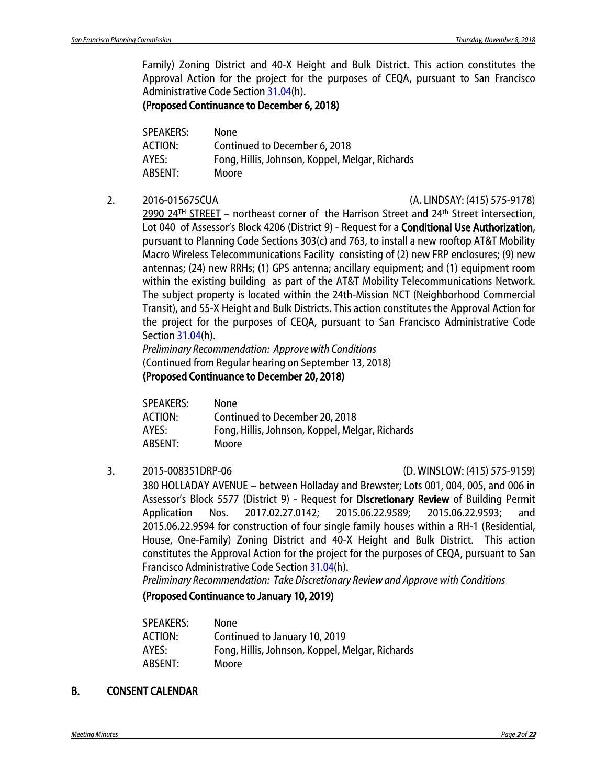Family) Zoning District and 40-X Height and Bulk District. This action constitutes the Approval Action for the project for the purposes of CEQA, pursuant to San Francisco Administrative Code Section [31.04\(](http://library.amlegal.com/nxt/gateway.dll/California/administrative/chapter31californiaenvironmentalqualitya?f=templates$fn=default.htm$3.0$vid=amlegal:sanfrancisco_ca$anc=JD_31.04)h).

(Proposed Continuance to December 6, 2018)

| <b>None</b>                                     |
|-------------------------------------------------|
| Continued to December 6, 2018                   |
| Fong, Hillis, Johnson, Koppel, Melgar, Richards |
| Moore                                           |
|                                                 |

2. 2016-015675CUA (A. LINDSAY: (415) 575-9178)

2990 24<sup>TH</sup> STREET – northeast corner of the Harrison Street and 24<sup>th</sup> Street intersection, Lot 040 of Assessor's Block 4206 (District 9) - Request for a **Conditional Use Authorization**, pursuant to Planning Code Sections 303(c) and 763, to install a new rooftop AT&T Mobility Macro Wireless Telecommunications Facility consisting of (2) new FRP enclosures; (9) new antennas; (24) new RRHs; (1) GPS antenna; ancillary equipment; and (1) equipment room within the existing building as part of the AT&T Mobility Telecommunications Network. The subject property is located within the 24th-Mission NCT (Neighborhood Commercial Transit), and 55-X Height and Bulk Districts. This action constitutes the Approval Action for the project for the purposes of CEQA, pursuant to San Francisco Administrative Code Sectio[n 31.04\(](http://library.amlegal.com/nxt/gateway.dll/California/administrative/chapter31californiaenvironmentalqualitya?f=templates$fn=default.htm$3.0$vid=amlegal:sanfrancisco_ca$anc=JD_31.04)h).

*Preliminary Recommendation: Approve with Conditions* (Continued from Regular hearing on September 13, 2018) (Proposed Continuance to December 20, 2018)

| SPEAKERS: | None                                            |
|-----------|-------------------------------------------------|
| ACTION:   | Continued to December 20, 2018                  |
| AYES:     | Fong, Hillis, Johnson, Koppel, Melgar, Richards |
| ABSENT:   | Moore                                           |

3. 2015-008351DRP-06 (D. WINSLOW: (415) 575-9159)

380 HOLLADAY AVENUE – between Holladay and Brewster; Lots 001, 004, 005, and 006 in Assessor's Block 5577 (District 9) - Request for Discretionary Review of Building Permit Application Nos. 2017.02.27.0142; 2015.06.22.9589; 2015.06.22.9593; and 2015.06.22.9594 for construction of four single family houses within a RH-1 (Residential, House, One-Family) Zoning District and 40-X Height and Bulk District. This action constitutes the Approval Action for the project for the purposes of CEQA, pursuant to San Francisco Administrative Code Section [31.04\(](http://library.amlegal.com/nxt/gateway.dll/California/administrative/chapter31californiaenvironmentalqualitya?f=templates$fn=default.htm$3.0$vid=amlegal:sanfrancisco_ca$anc=JD_31.04)h).

*Preliminary Recommendation: Take Discretionary Review and Approve with Conditions*

### (Proposed Continuance to January 10, 2019)

| SPEAKERS: | None                                            |
|-----------|-------------------------------------------------|
| ACTION:   | Continued to January 10, 2019                   |
| AYES:     | Fong, Hillis, Johnson, Koppel, Melgar, Richards |
| ABSENT:   | Moore                                           |

### B. CONSENT CALENDAR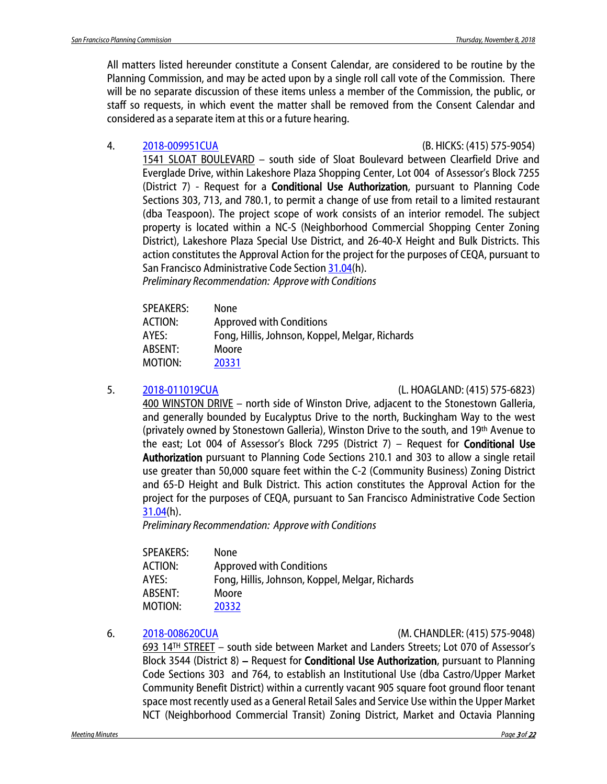All matters listed hereunder constitute a Consent Calendar, are considered to be routine by the Planning Commission, and may be acted upon by a single roll call vote of the Commission. There will be no separate discussion of these items unless a member of the Commission, the public, or staff so requests, in which event the matter shall be removed from the Consent Calendar and considered as a separate item at this or a future hearing.

### 4. [2018-009951CUA](http://commissions.sfplanning.org/cpcpackets/2018-009951CUA.pdf) (B. HICKS: (415) 575-9054)

1541 SLOAT BOULEVARD – south side of Sloat Boulevard between Clearfield Drive and Everglade Drive, within Lakeshore Plaza Shopping Center, Lot 004 of Assessor's Block 7255 (District 7) - Request for a **Conditional Use Authorization**, pursuant to Planning Code Sections 303, 713, and 780.1, to permit a change of use from retail to a limited restaurant (dba Teaspoon). The project scope of work consists of an interior remodel. The subject property is located within a NC-S (Neighborhood Commercial Shopping Center Zoning District), Lakeshore Plaza Special Use District, and 26-40-X Height and Bulk Districts. This action constitutes the Approval Action for the project for the purposes of CEQA, pursuant to San Francisco Administrative Code Sectio[n 31.04\(](http://library.amlegal.com/nxt/gateway.dll/California/administrative/chapter31californiaenvironmentalqualitya?f=templates$fn=default.htm$3.0$vid=amlegal:sanfrancisco_ca$anc=JD_31.04)h). *Preliminary Recommendation: Approve with Conditions*

| <b>SPEAKERS:</b> | None                                            |
|------------------|-------------------------------------------------|
| <b>ACTION:</b>   | <b>Approved with Conditions</b>                 |
| AYES:            | Fong, Hillis, Johnson, Koppel, Melgar, Richards |
| ABSENT:          | Moore                                           |
| MOTION:          | 20331                                           |

5. [2018-011019CUA](http://commissions.sfplanning.org/cpcpackets/2018-011019CUA.pdf) (L. HOAGLAND: (415) 575-6823)

400 WINSTON DRIVE – north side of Winston Drive, adjacent to the Stonestown Galleria, and generally bounded by Eucalyptus Drive to the north, Buckingham Way to the west (privately owned by Stonestown Galleria), Winston Drive to the south, and 19th Avenue to the east; Lot 004 of Assessor's Block 7295 (District 7) – Request for **Conditional Use** Authorization pursuant to Planning Code Sections 210.1 and 303 to allow a single retail use greater than 50,000 square feet within the C-2 (Community Business) Zoning District and 65-D Height and Bulk District. This action constitutes the Approval Action for the project for the purposes of CEQA, pursuant to San Francisco Administrative Code Section [31.04\(](http://library.amlegal.com/nxt/gateway.dll/California/administrative/chapter31californiaenvironmentalqualitya?f=templates$fn=default.htm$3.0$vid=amlegal:sanfrancisco_ca$anc=JD_31.04)h).

*Preliminary Recommendation: Approve with Conditions*

| <b>None</b>                                     |
|-------------------------------------------------|
| <b>Approved with Conditions</b>                 |
| Fong, Hillis, Johnson, Koppel, Melgar, Richards |
| Moore                                           |
| 20332                                           |
|                                                 |

#### 6. [2018-008620CUA](http://commissions.sfplanning.org/cpcpackets/2018-008620CUA.pdf) (M. CHANDLER: (415) 575-9048)

693 14TH STREET – south side between Market and Landers Streets; Lot 070 of Assessor's Block 3544 (District 8) – Request for **Conditional Use Authorization**, pursuant to Planning Code Sections 303 and 764, to establish an Institutional Use (dba Castro/Upper Market Community Benefit District) within a currently vacant 905 square foot ground floor tenant space most recently used as a General Retail Sales and Service Use within the Upper Market NCT (Neighborhood Commercial Transit) Zoning District, Market and Octavia Planning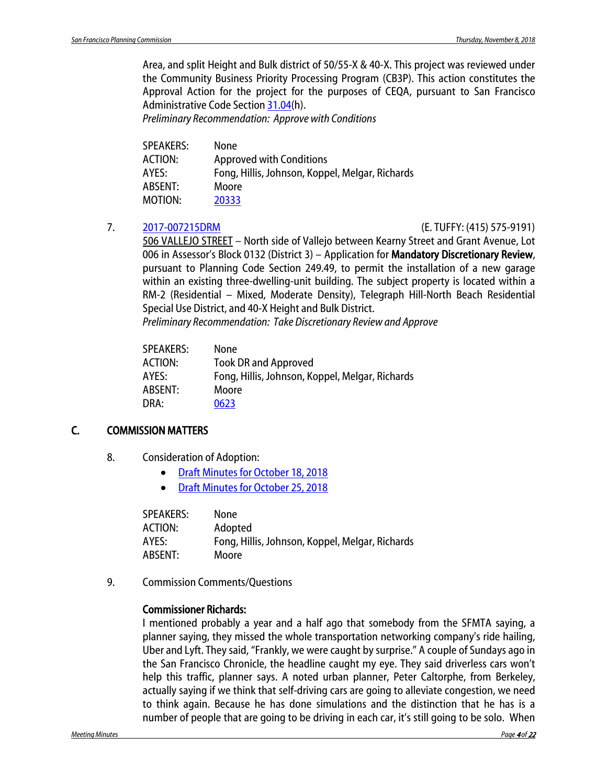Area, and split Height and Bulk district of 50/55-X & 40-X. This project was reviewed under the Community Business Priority Processing Program (CB3P). This action constitutes the Approval Action for the project for the purposes of CEQA, pursuant to San Francisco Administrative Code Section [31.04\(](http://library.amlegal.com/nxt/gateway.dll/California/administrative/chapter31californiaenvironmentalqualitya?f=templates$fn=default.htm$3.0$vid=amlegal:sanfrancisco_ca$anc=JD_31.04)h).

*Preliminary Recommendation: Approve with Conditions*

| SPEAKERS: | <b>None</b>                                     |
|-----------|-------------------------------------------------|
| ACTION:   | <b>Approved with Conditions</b>                 |
| AYES:     | Fong, Hillis, Johnson, Koppel, Melgar, Richards |
| ABSENT:   | Moore                                           |
| MOTION:   | 20333                                           |
|           |                                                 |

### 7. [2017-007215DRM](http://commissions.sfplanning.org/cpcpackets/2017-007215DRM.pdf) (E. TUFFY: (415) 575-9191)

506 VALLEJO STREET – North side of Vallejo between Kearny Street and Grant Avenue, Lot 006 in Assessor's Block 0132 (District 3) – Application for Mandatory Discretionary Review, pursuant to Planning Code Section 249.49, to permit the installation of a new garage within an existing three-dwelling-unit building. The subject property is located within a RM-2 (Residential – Mixed, Moderate Density), Telegraph Hill-North Beach Residential Special Use District, and 40-X Height and Bulk District.

*Preliminary Recommendation: Take Discretionary Reviewand Approve*

| SPEAKERS: | None                                            |
|-----------|-------------------------------------------------|
| ACTION:   | <b>Took DR and Approved</b>                     |
| AYES:     | Fong, Hillis, Johnson, Koppel, Melgar, Richards |
| ABSENT:   | Moore                                           |
| DRA:      | 0623                                            |

### C. COMMISSION MATTERS

- 8. Consideration of Adoption:
	- [Draft Minutes for October 18,](http://commissions.sfplanning.org/cpcpackets/20181018_cal_min.pdf) 2018
	- [Draft Minutes for October](http://commissions.sfplanning.org/cpcpackets/20181025_cal_min.pdf) 25, 2018

| None                                            |
|-------------------------------------------------|
| Adopted                                         |
| Fong, Hillis, Johnson, Koppel, Melgar, Richards |
| Moore                                           |
|                                                 |

9. Commission Comments/Questions

### Commissioner Richards:

I mentioned probably a year and a half ago that somebody from the SFMTA saying, a planner saying, they missed the whole transportation networking company's ride hailing, Uber and Lyft. They said, "Frankly, we were caught by surprise." A couple of Sundays ago in the San Francisco Chronicle, the headline caught my eye. They said driverless cars won't help this traffic, planner says. A noted urban planner, Peter Caltorphe, from Berkeley, actually saying if we think that self-driving cars are going to alleviate congestion, we need to think again. Because he has done simulations and the distinction that he has is a number of people that are going to be driving in each car, it's still going to be solo. When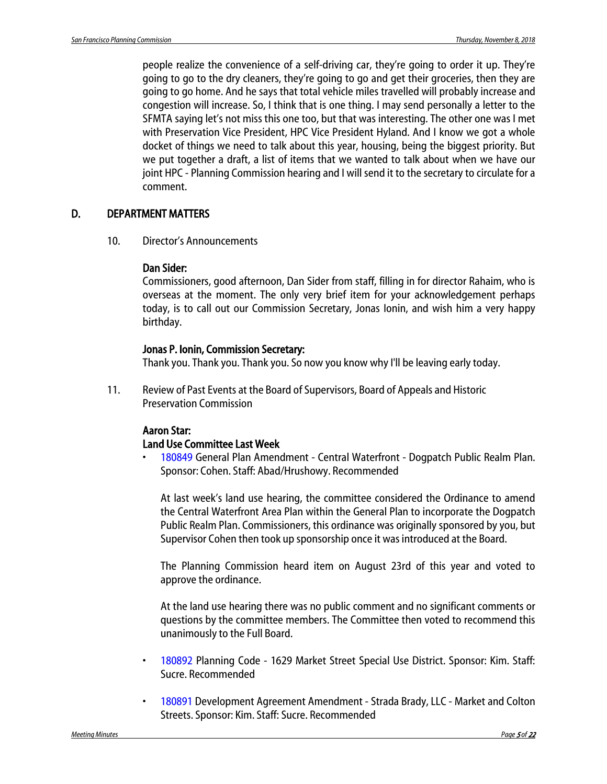people realize the convenience of a self-driving car, they're going to order it up. They're going to go to the dry cleaners, they're going to go and get their groceries, then they are going to go home. And he says that total vehicle miles travelled will probably increase and congestion will increase. So, I think that is one thing. I may send personally a letter to the SFMTA saying let's not miss this one too, but that was interesting. The other one was I met with Preservation Vice President, HPC Vice President Hyland. And I know we got a whole docket of things we need to talk about this year, housing, being the biggest priority. But we put together a draft, a list of items that we wanted to talk about when we have our joint HPC - Planning Commission hearing and I will send it to the secretary to circulate for a comment.

### D. DEPARTMENT MATTERS

10. Director's Announcements

#### Dan Sider:

Commissioners, good afternoon, Dan Sider from staff, filling in for director Rahaim, who is overseas at the moment. The only very brief item for your acknowledgement perhaps today, is to call out our Commission Secretary, Jonas Ionin, and wish him a very happy birthday.

#### Jonas P. Ionin, Commission Secretary:

Thank you. Thank you. Thank you. So now you know why I'll be leaving early today.

11. Review of Past Events at the Board of Supervisors, Board of Appeals and Historic Preservation Commission

### Aaron Star:

### Land Use Committee Last Week

• 180849 General Plan Amendment - Central Waterfront - Dogpatch Public Realm Plan. Sponsor: Cohen. Staff: Abad/Hrushowy. Recommended

At last week's land use hearing, the committee considered the Ordinance to amend the Central Waterfront Area Plan within the General Plan to incorporate the Dogpatch Public Realm Plan. Commissioners, this ordinance was originally sponsored by you, but Supervisor Cohen then took up sponsorship once it was introduced at the Board.

The Planning Commission heard item on August 23rd of this year and voted to approve the ordinance.

At the land use hearing there was no public comment and no significant comments or questions by the committee members. The Committee then voted to recommend this unanimously to the Full Board.

- 180892 Planning Code 1629 Market Street Special Use District. Sponsor: Kim. Staff: Sucre. Recommended
- 180891 Development Agreement Amendment Strada Brady, LLC Market and Colton Streets. Sponsor: Kim. Staff: Sucre. Recommended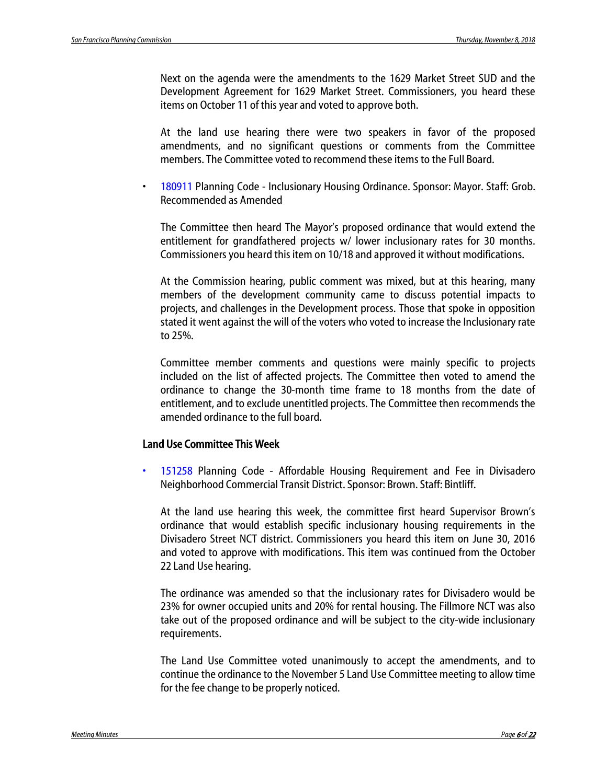Next on the agenda were the amendments to the 1629 Market Street SUD and the Development Agreement for 1629 Market Street. Commissioners, you heard these items on October 11 of this year and voted to approve both.

At the land use hearing there were two speakers in favor of the proposed amendments, and no significant questions or comments from the Committee members. The Committee voted to recommend these items to the Full Board.

• 180911 Planning Code - Inclusionary Housing Ordinance. Sponsor: Mayor. Staff: Grob. Recommended as Amended

The Committee then heard The Mayor's proposed ordinance that would extend the entitlement for grandfathered projects w/ lower inclusionary rates for 30 months. Commissioners you heard this item on 10/18 and approved it without modifications.

At the Commission hearing, public comment was mixed, but at this hearing, many members of the development community came to discuss potential impacts to projects, and challenges in the Development process. Those that spoke in opposition stated it went against the will of the voters who voted to increase the Inclusionary rate to 25%.

Committee member comments and questions were mainly specific to projects included on the list of affected projects. The Committee then voted to amend the ordinance to change the 30-month time frame to 18 months from the date of entitlement, and to exclude unentitled projects. The Committee then recommends the amended ordinance to the full board.

#### Land Use Committee This Week

• 151258 Planning Code - Affordable Housing Requirement and Fee in Divisadero Neighborhood Commercial Transit District. Sponsor: Brown. Staff: Bintliff.

At the land use hearing this week, the committee first heard Supervisor Brown's ordinance that would establish specific inclusionary housing requirements in the Divisadero Street NCT district. Commissioners you heard this item on June 30, 2016 and voted to approve with modifications. This item was continued from the October 22 Land Use hearing.

The ordinance was amended so that the inclusionary rates for Divisadero would be 23% for owner occupied units and 20% for rental housing. The Fillmore NCT was also take out of the proposed ordinance and will be subject to the city-wide inclusionary requirements.

The Land Use Committee voted unanimously to accept the amendments, and to continue the ordinance to the November 5 Land Use Committee meeting to allow time for the fee change to be properly noticed.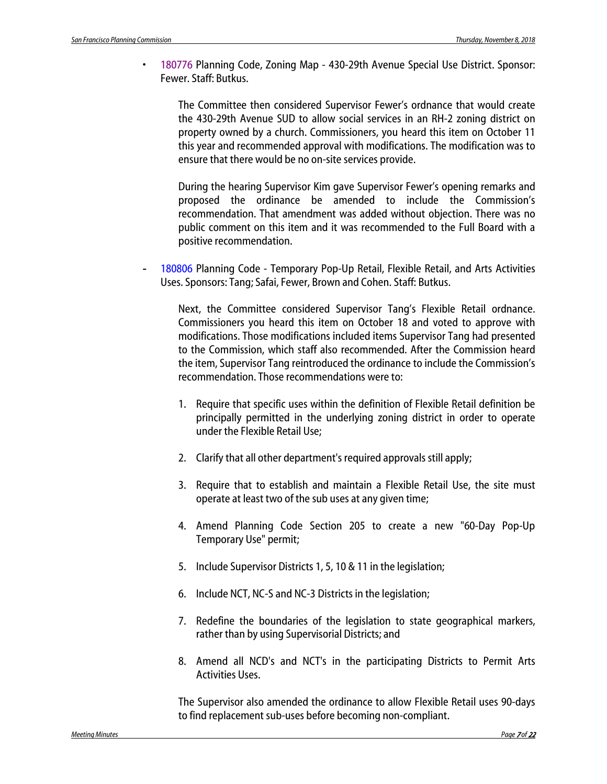• 180776 Planning Code, Zoning Map - 430-29th Avenue Special Use District. Sponsor: Fewer. Staff: Butkus.

The Committee then considered Supervisor Fewer's ordnance that would create the 430-29th Avenue SUD to allow social services in an RH-2 zoning district on property owned by a church. Commissioners, you heard this item on October 11 this year and recommended approval with modifications. The modification was to ensure that there would be no on-site services provide.

During the hearing Supervisor Kim gave Supervisor Fewer's opening remarks and proposed the ordinance be amended to include the Commission's recommendation. That amendment was added without objection. There was no public comment on this item and it was recommended to the Full Board with a positive recommendation.

180806 Planning Code - Temporary Pop-Up Retail, Flexible Retail, and Arts Activities Uses. Sponsors: Tang; Safai, Fewer, Brown and Cohen. Staff: Butkus.

Next, the Committee considered Supervisor Tang's Flexible Retail ordnance. Commissioners you heard this item on October 18 and voted to approve with modifications. Those modifications included items Supervisor Tang had presented to the Commission, which staff also recommended. After the Commission heard the item, Supervisor Tang reintroduced the ordinance to include the Commission's recommendation. Those recommendations were to:

- 1. Require that specific uses within the definition of Flexible Retail definition be principally permitted in the underlying zoning district in order to operate under the Flexible Retail Use;
- 2. Clarify that all other department's required approvals still apply;
- 3. Require that to establish and maintain a Flexible Retail Use, the site must operate at least two of the sub uses at any given time;
- 4. Amend Planning Code Section 205 to create a new "60-Day Pop-Up Temporary Use" permit;
- 5. Include Supervisor Districts 1, 5, 10 & 11 in the legislation;
- 6. Include NCT, NC-S and NC-3 Districts in the legislation;
- 7. Redefine the boundaries of the legislation to state geographical markers, rather than by using Supervisorial Districts; and
- 8. Amend all NCD's and NCT's in the participating Districts to Permit Arts Activities Uses.

The Supervisor also amended the ordinance to allow Flexible Retail uses 90-days to find replacement sub-uses before becoming non-compliant.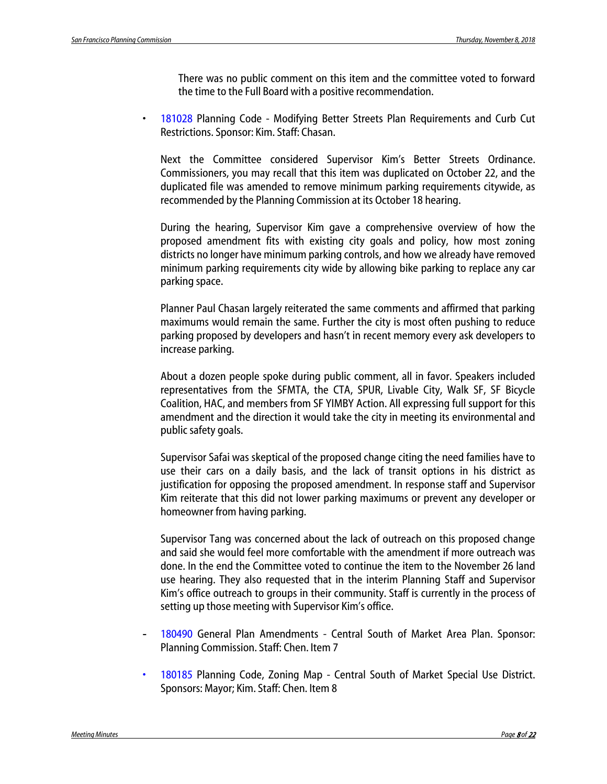There was no public comment on this item and the committee voted to forward the time to the Full Board with a positive recommendation.

• 181028 Planning Code - Modifying Better Streets Plan Requirements and Curb Cut Restrictions. Sponsor: Kim. Staff: Chasan.

Next the Committee considered Supervisor Kim's Better Streets Ordinance. Commissioners, you may recall that this item was duplicated on October 22, and the duplicated file was amended to remove minimum parking requirements citywide, as recommended by the Planning Commission at its October 18 hearing.

During the hearing, Supervisor Kim gave a comprehensive overview of how the proposed amendment fits with existing city goals and policy, how most zoning districts no longer have minimum parking controls, and how we already have removed minimum parking requirements city wide by allowing bike parking to replace any car parking space.

Planner Paul Chasan largely reiterated the same comments and affirmed that parking maximums would remain the same. Further the city is most often pushing to reduce parking proposed by developers and hasn't in recent memory every ask developers to increase parking.

About a dozen people spoke during public comment, all in favor. Speakers included representatives from the SFMTA, the CTA, SPUR, Livable City, Walk SF, SF Bicycle Coalition, HAC, and members from SF YIMBY Action. All expressing full support for this amendment and the direction it would take the city in meeting its environmental and public safety goals.

Supervisor Safai was skeptical of the proposed change citing the need families have to use their cars on a daily basis, and the lack of transit options in his district as justification for opposing the proposed amendment. In response staff and Supervisor Kim reiterate that this did not lower parking maximums or prevent any developer or homeowner from having parking.

Supervisor Tang was concerned about the lack of outreach on this proposed change and said she would feel more comfortable with the amendment if more outreach was done. In the end the Committee voted to continue the item to the November 26 land use hearing. They also requested that in the interim Planning Staff and Supervisor Kim's office outreach to groups in their community. Staff is currently in the process of setting up those meeting with Supervisor Kim's office.

- 180490 General Plan Amendments Central South of Market Area Plan. Sponsor: Planning Commission. Staff: Chen. Item 7
- 180185 Planning Code, Zoning Map Central South of Market Special Use District. Sponsors: Mayor; Kim. Staff: Chen. Item 8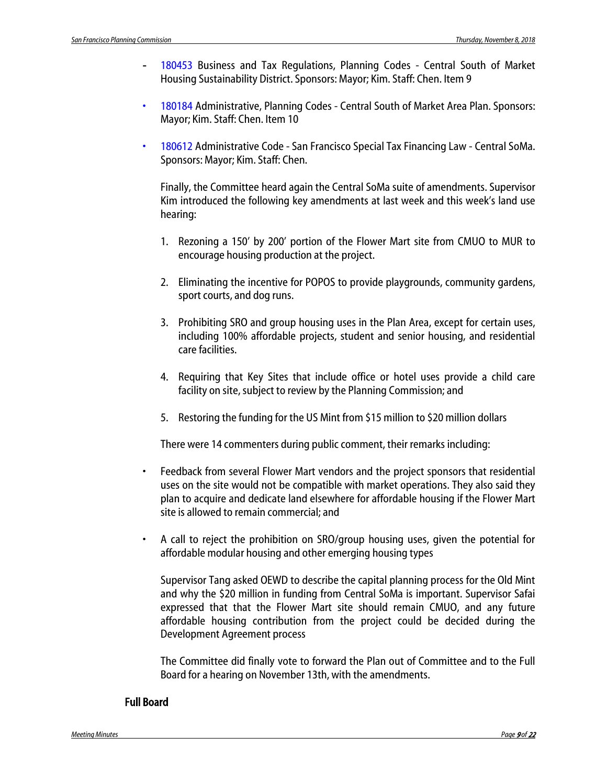- 180453 Business and Tax Regulations, Planning Codes Central South of Market Housing Sustainability District. Sponsors: Mayor; Kim. Staff: Chen. Item 9
- 180184 Administrative, Planning Codes Central South of Market Area Plan. Sponsors: Mayor; Kim. Staff: Chen. Item 10
- 180612 Administrative Code San Francisco Special Tax Financing Law Central SoMa. Sponsors: Mayor; Kim. Staff: Chen.

Finally, the Committee heard again the Central SoMa suite of amendments. Supervisor Kim introduced the following key amendments at last week and this week's land use hearing:

- 1. Rezoning a 150' by 200' portion of the Flower Mart site from CMUO to MUR to encourage housing production at the project.
- 2. Eliminating the incentive for POPOS to provide playgrounds, community gardens, sport courts, and dog runs.
- 3. Prohibiting SRO and group housing uses in the Plan Area, except for certain uses, including 100% affordable projects, student and senior housing, and residential care facilities.
- 4. Requiring that Key Sites that include office or hotel uses provide a child care facility on site, subject to review by the Planning Commission; and
- 5. Restoring the funding for the US Mint from \$15 million to \$20 million dollars

There were 14 commenters during public comment, their remarks including:

- Feedback from several Flower Mart vendors and the project sponsors that residential uses on the site would not be compatible with market operations. They also said they plan to acquire and dedicate land elsewhere for affordable housing if the Flower Mart site is allowed to remain commercial; and
- A call to reject the prohibition on SRO/group housing uses, given the potential for affordable modular housing and other emerging housing types

Supervisor Tang asked OEWD to describe the capital planning process for the Old Mint and why the \$20 million in funding from Central SoMa is important. Supervisor Safai expressed that that the Flower Mart site should remain CMUO, and any future affordable housing contribution from the project could be decided during the Development Agreement process

The Committee did finally vote to forward the Plan out of Committee and to the Full Board for a hearing on November 13th, with the amendments.

### Full Board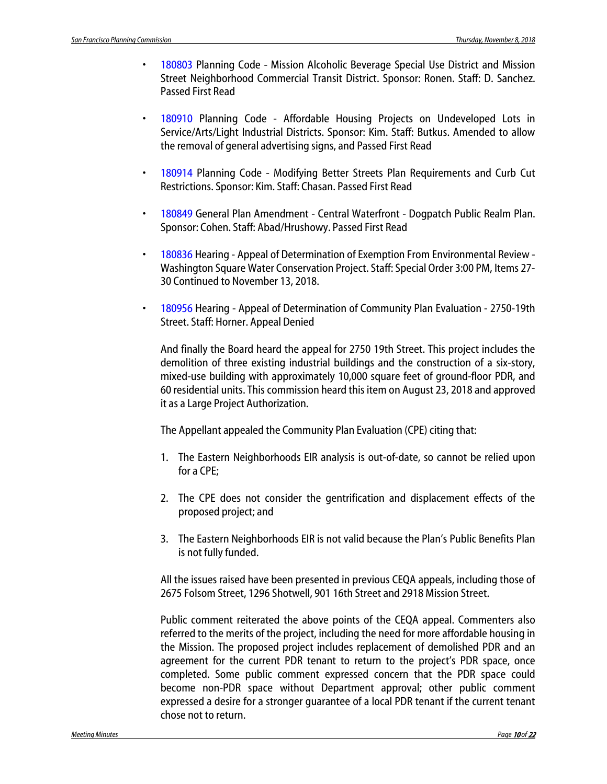- 180803 Planning Code Mission Alcoholic Beverage Special Use District and Mission Street Neighborhood Commercial Transit District. Sponsor: Ronen. Staff: D. Sanchez. Passed First Read
- 180910 Planning Code Affordable Housing Projects on Undeveloped Lots in Service/Arts/Light Industrial Districts. Sponsor: Kim. Staff: Butkus. Amended to allow the removal of general advertising signs, and Passed First Read
- 180914 Planning Code Modifying Better Streets Plan Requirements and Curb Cut Restrictions. Sponsor: Kim. Staff: Chasan. Passed First Read
- 180849 General Plan Amendment Central Waterfront Dogpatch Public Realm Plan. Sponsor: Cohen. Staff: Abad/Hrushowy. Passed First Read
- 180836 Hearing Appeal of Determination of Exemption From Environmental Review Washington Square Water Conservation Project. Staff: Special Order 3:00 PM, Items 27- 30 Continued to November 13, 2018.
- 180956 Hearing Appeal of Determination of Community Plan Evaluation 2750-19th Street. Staff: Horner. Appeal Denied

And finally the Board heard the appeal for 2750 19th Street. This project includes the demolition of three existing industrial buildings and the construction of a six-story, mixed-use building with approximately 10,000 square feet of ground-floor PDR, and 60 residential units. This commission heard this item on August 23, 2018 and approved it as a Large Project Authorization.

The Appellant appealed the Community Plan Evaluation (CPE) citing that:

- 1. The Eastern Neighborhoods EIR analysis is out-of-date, so cannot be relied upon for a CPE;
- 2. The CPE does not consider the gentrification and displacement effects of the proposed project; and
- 3. The Eastern Neighborhoods EIR is not valid because the Plan's Public Benefits Plan is not fully funded.

All the issues raised have been presented in previous CEQA appeals, including those of 2675 Folsom Street, 1296 Shotwell, 901 16th Street and 2918 Mission Street.

Public comment reiterated the above points of the CEQA appeal. Commenters also referred to the merits of the project, including the need for more affordable housing in the Mission. The proposed project includes replacement of demolished PDR and an agreement for the current PDR tenant to return to the project's PDR space, once completed. Some public comment expressed concern that the PDR space could become non-PDR space without Department approval; other public comment expressed a desire for a stronger guarantee of a local PDR tenant if the current tenant chose not to return.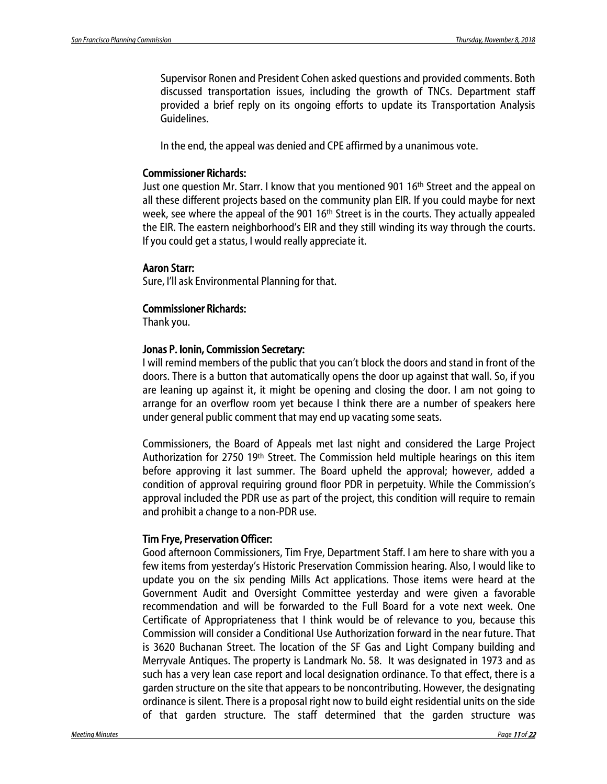Supervisor Ronen and President Cohen asked questions and provided comments. Both discussed transportation issues, including the growth of TNCs. Department staff provided a brief reply on its ongoing efforts to update its Transportation Analysis Guidelines.

In the end, the appeal was denied and CPE affirmed by a unanimous vote.

#### Commissioner Richards:

Just one question Mr. Starr. I know that you mentioned 901 16th Street and the appeal on all these different projects based on the community plan EIR. If you could maybe for next week, see where the appeal of the 901 16<sup>th</sup> Street is in the courts. They actually appealed the EIR. The eastern neighborhood's EIR and they still winding its way through the courts. If you could get a status, I would really appreciate it.

#### Aaron Starr:

Sure, I'll ask Environmental Planning for that.

#### Commissioner Richards:

Thank you.

#### Jonas P. Ionin, Commission Secretary:

I will remind members of the public that you can't block the doors and stand in front of the doors. There is a button that automatically opens the door up against that wall. So, if you are leaning up against it, it might be opening and closing the door. I am not going to arrange for an overflow room yet because I think there are a number of speakers here under general public comment that may end up vacating some seats.

Commissioners, the Board of Appeals met last night and considered the Large Project Authorization for 2750 19th Street. The Commission held multiple hearings on this item before approving it last summer. The Board upheld the approval; however, added a condition of approval requiring ground floor PDR in perpetuity. While the Commission's approval included the PDR use as part of the project, this condition will require to remain and prohibit a change to a non-PDR use.

#### Tim Frye, Preservation Officer:

Good afternoon Commissioners, Tim Frye, Department Staff. I am here to share with you a few items from yesterday's Historic Preservation Commission hearing. Also, I would like to update you on the six pending Mills Act applications. Those items were heard at the Government Audit and Oversight Committee yesterday and were given a favorable recommendation and will be forwarded to the Full Board for a vote next week. One Certificate of Appropriateness that I think would be of relevance to you, because this Commission will consider a Conditional Use Authorization forward in the near future. That is 3620 Buchanan Street. The location of the SF Gas and Light Company building and Merryvale Antiques. The property is Landmark No. 58. It was designated in 1973 and as such has a very lean case report and local designation ordinance. To that effect, there is a garden structure on the site that appears to be noncontributing. However, the designating ordinance is silent. There is a proposal right now to build eight residential units on the side of that garden structure. The staff determined that the garden structure was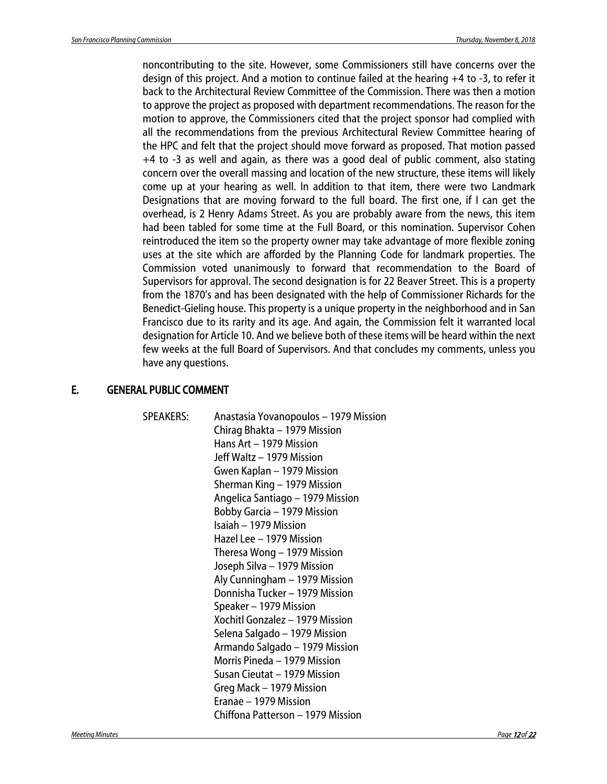noncontributing to the site. However, some Commissioners still have concerns over the design of this project. And a motion to continue failed at the hearing +4 to -3, to refer it back to the Architectural Review Committee of the Commission. There was then a motion to approve the project as proposed with department recommendations. The reason for the motion to approve, the Commissioners cited that the project sponsor had complied with all the recommendations from the previous Architectural Review Committee hearing of the HPC and felt that the project should move forward as proposed. That motion passed +4 to -3 as well and again, as there was a good deal of public comment, also stating concern over the overall massing and location of the new structure, these items will likely come up at your hearing as well. In addition to that item, there were two Landmark Designations that are moving forward to the full board. The first one, if I can get the overhead, is 2 Henry Adams Street. As you are probably aware from the news, this item had been tabled for some time at the Full Board, or this nomination. Supervisor Cohen reintroduced the item so the property owner may take advantage of more flexible zoning uses at the site which are afforded by the Planning Code for landmark properties. The Commission voted unanimously to forward that recommendation to the Board of Supervisors for approval. The second designation is for 22 Beaver Street. This is a property from the 1870's and has been designated with the help of Commissioner Richards for the Benedict-Gieling house. This property is a unique property in the neighborhood and in San Francisco due to its rarity and its age. And again, the Commission felt it warranted local designation for Article 10. And we believe both of these items will be heard within the next few weeks at the full Board of Supervisors. And that concludes my comments, unless you have any questions.

#### E. GENERAL PUBLIC COMMENT

SPEAKERS: Anastasia Yovanopoulos – 1979 Mission Chirag Bhakta – 1979 Mission Hans Art – 1979 Mission Jeff Waltz – 1979 Mission Gwen Kaplan – 1979 Mission Sherman King – 1979 Mission Angelica Santiago – 1979 Mission Bobby Garcia – 1979 Mission Isaiah – 1979 Mission Hazel Lee – 1979 Mission Theresa Wong – 1979 Mission Joseph Silva – 1979 Mission Aly Cunningham – 1979 Mission Donnisha Tucker – 1979 Mission Speaker – 1979 Mission Xochitl Gonzalez – 1979 Mission Selena Salgado – 1979 Mission Armando Salgado – 1979 Mission Morris Pineda – 1979 Mission Susan Cieutat – 1979 Mission Greg Mack – 1979 Mission Eranae – 1979 Mission Chiffona Patterson – 1979 Mission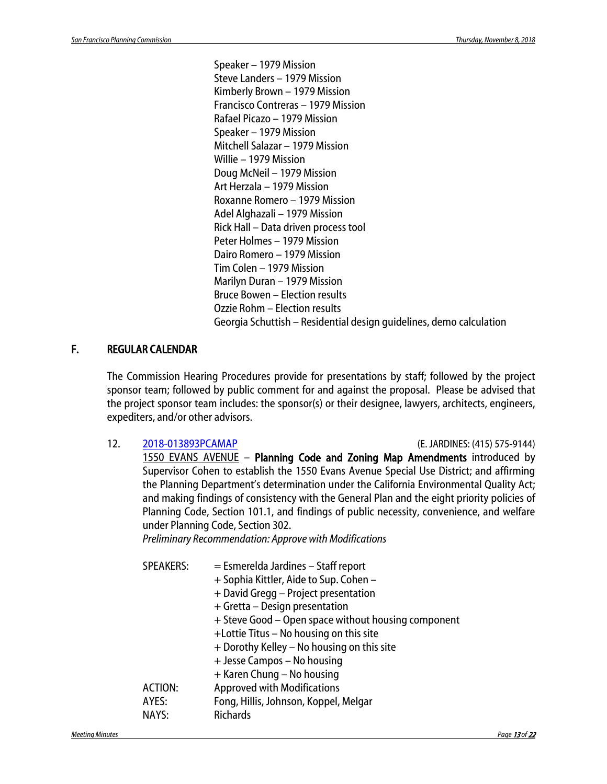Speaker – 1979 Mission Steve Landers – 1979 Mission Kimberly Brown – 1979 Mission Francisco Contreras – 1979 Mission Rafael Picazo – 1979 Mission Speaker – 1979 Mission Mitchell Salazar – 1979 Mission Willie – 1979 Mission Doug McNeil – 1979 Mission Art Herzala – 1979 Mission Roxanne Romero – 1979 Mission Adel Alghazali – 1979 Mission Rick Hall – Data driven process tool Peter Holmes – 1979 Mission Dairo Romero – 1979 Mission Tim Colen – 1979 Mission Marilyn Duran – 1979 Mission Bruce Bowen – Election results Ozzie Rohm – Election results Georgia Schuttish – Residential design guidelines, demo calculation

### F. REGULAR CALENDAR

The Commission Hearing Procedures provide for presentations by staff; followed by the project sponsor team; followed by public comment for and against the proposal. Please be advised that the project sponsor team includes: the sponsor(s) or their designee, lawyers, architects, engineers, expediters, and/or other advisors.

12. [2018-013893PCAMAP](http://commissions.sfplanning.org/cpcpackets/2018-013893PCAMAP.pdf) (E. JARDINES: (415) 575-9144) 1550 EVANS AVENUE – Planning Code and Zoning Map Amendments introduced by Supervisor Cohen to establish the 1550 Evans Avenue Special Use District; and affirming the Planning Department's determination under the California Environmental Quality Act; and making findings of consistency with the General Plan and the eight priority policies of Planning Code, Section 101.1, and findings of public necessity, convenience, and welfare under Planning Code, Section 302. *Preliminary Recommendation: Approve with Modifications*

| <b>SPEAKERS:</b> | $=$ Esmerelda Jardines $-$ Staff report<br>+ Sophia Kittler, Aide to Sup. Cohen -<br>+ David Gregg - Project presentation<br>+ Gretta - Design presentation<br>+ Steve Good – Open space without housing component<br>+Lottie Titus - No housing on this site<br>+ Dorothy Kelley - No housing on this site<br>+ Jesse Campos - No housing<br>+ Karen Chung - No housing |
|------------------|--------------------------------------------------------------------------------------------------------------------------------------------------------------------------------------------------------------------------------------------------------------------------------------------------------------------------------------------------------------------------|
| ACTION:          | <b>Approved with Modifications</b>                                                                                                                                                                                                                                                                                                                                       |
| AYES:            | Fong, Hillis, Johnson, Koppel, Melgar                                                                                                                                                                                                                                                                                                                                    |
| NAYS:            | <b>Richards</b>                                                                                                                                                                                                                                                                                                                                                          |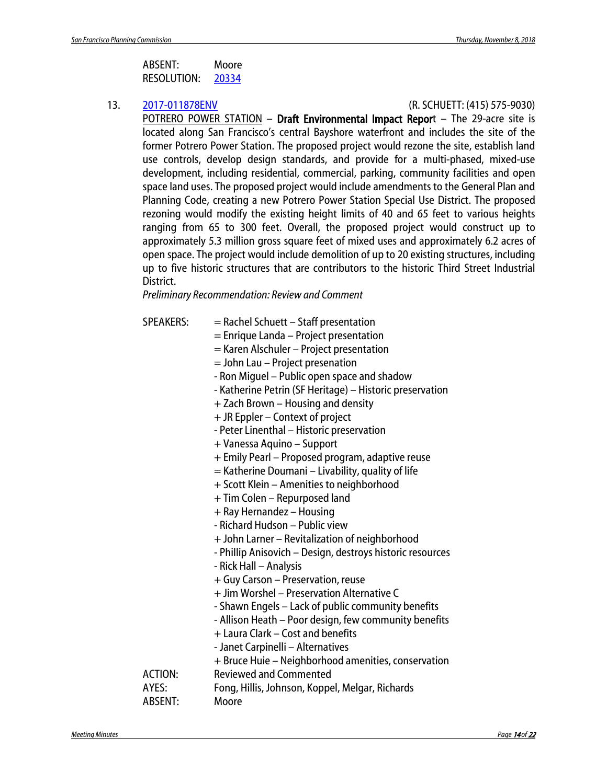| ABSENT:     | Moore |
|-------------|-------|
| RESOLUTION: | 20334 |

#### 13. [2017-011878ENV](https://sf-planning.org/environmental-impact-reports-negative-declarations) (R. SCHUETT: (415) 575-9030)

POTRERO POWER STATION – Draft Environmental Impact Report – The 29-acre site is located along San Francisco's central Bayshore waterfront and includes the site of the former Potrero Power Station. The proposed project would rezone the site, establish land use controls, develop design standards, and provide for a multi-phased, mixed-use development, including residential, commercial, parking, community facilities and open space land uses. The proposed project would include amendments to the General Plan and Planning Code, creating a new Potrero Power Station Special Use District. The proposed rezoning would modify the existing height limits of 40 and 65 feet to various heights ranging from 65 to 300 feet. Overall, the proposed project would construct up to approximately 5.3 million gross square feet of mixed uses and approximately 6.2 acres of open space. The project would include demolition of up to 20 existing structures, including up to five historic structures that are contributors to the historic Third Street Industrial District.

*Preliminary Recommendation: Review and Comment*

| <b>SPEAKERS:</b> | $=$ Rachel Schuett – Staff presentation                   |
|------------------|-----------------------------------------------------------|
|                  | $=$ Enrique Landa $-$ Project presentation                |
|                  | = Karen Alschuler - Project presentation                  |
|                  | = John Lau - Project presenation                          |
|                  | - Ron Miguel - Public open space and shadow               |
|                  | - Katherine Petrin (SF Heritage) - Historic preservation  |
|                  | + Zach Brown - Housing and density                        |
|                  | + JR Eppler - Context of project                          |
|                  | - Peter Linenthal - Historic preservation                 |
|                  | + Vanessa Aquino – Support                                |
|                  | + Emily Pearl - Proposed program, adaptive reuse          |
|                  | = Katherine Doumani – Livability, quality of life         |
|                  | + Scott Klein - Amenities to neighborhood                 |
|                  | + Tim Colen - Repurposed land                             |
|                  | + Ray Hernandez - Housing                                 |
|                  | - Richard Hudson - Public view                            |
|                  | + John Larner – Revitalization of neighborhood            |
|                  | - Phillip Anisovich - Design, destroys historic resources |
|                  | - Rick Hall - Analysis                                    |
|                  | + Guy Carson - Preservation, reuse                        |
|                  | + Jim Worshel - Preservation Alternative C                |
|                  | - Shawn Engels - Lack of public community benefits        |
|                  | - Allison Heath - Poor design, few community benefits     |
|                  | + Laura Clark - Cost and benefits                         |
|                  | - Janet Carpinelli - Alternatives                         |
|                  | + Bruce Huie – Neighborhood amenities, conservation       |
| <b>ACTION:</b>   | <b>Reviewed and Commented</b>                             |
| AYES:            | Fong, Hillis, Johnson, Koppel, Melgar, Richards           |
| ABSENT:          | Moore                                                     |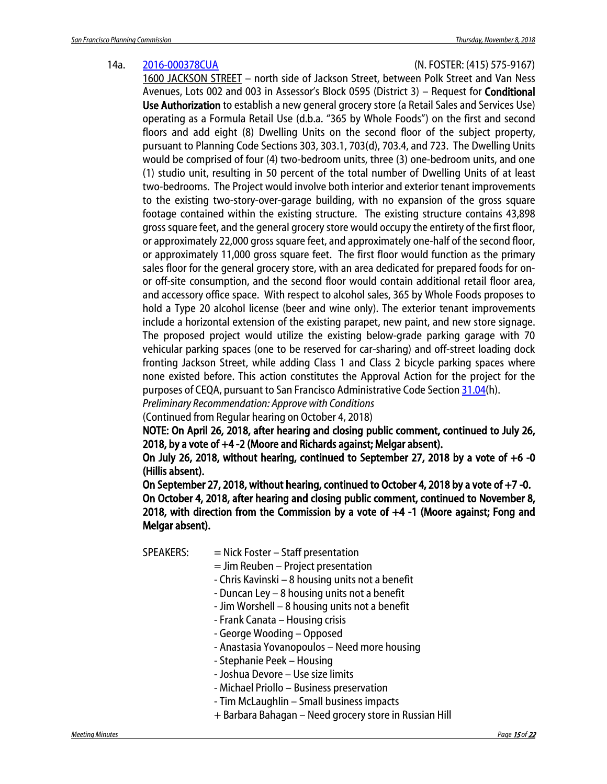#### 14a. [2016-000378CUA](http://commissions.sfplanning.org/cpcpackets/2016-000378CUAVAR.pdf) (N. FOSTER: (415) 575-9167)

1600 JACKSON STREET – north side of Jackson Street, between Polk Street and Van Ness Avenues, Lots 002 and 003 in Assessor's Block 0595 (District 3) – Request for Conditional Use Authorization to establish a new general grocery store (a Retail Sales and Services Use) operating as a Formula Retail Use (d.b.a. "365 by Whole Foods") on the first and second floors and add eight (8) Dwelling Units on the second floor of the subject property, pursuant to Planning Code Sections 303, 303.1, 703(d), 703.4, and 723. The Dwelling Units would be comprised of four (4) two-bedroom units, three (3) one-bedroom units, and one (1) studio unit, resulting in 50 percent of the total number of Dwelling Units of at least two-bedrooms. The Project would involve both interior and exterior tenant improvements to the existing two-story-over-garage building, with no expansion of the gross square footage contained within the existing structure. The existing structure contains 43,898 gross square feet, and the general grocery store would occupy the entirety of the first floor, or approximately 22,000 gross square feet, and approximately one-half of the second floor, or approximately 11,000 gross square feet. The first floor would function as the primary sales floor for the general grocery store, with an area dedicated for prepared foods for onor off-site consumption, and the second floor would contain additional retail floor area, and accessory office space. With respect to alcohol sales, 365 by Whole Foods proposes to hold a Type 20 alcohol license (beer and wine only). The exterior tenant improvements include a horizontal extension of the existing parapet, new paint, and new store signage. The proposed project would utilize the existing below-grade parking garage with 70 vehicular parking spaces (one to be reserved for car-sharing) and off-street loading dock fronting Jackson Street, while adding Class 1 and Class 2 bicycle parking spaces where none existed before. This action constitutes the Approval Action for the project for the purposes of CEQA, pursuant to San Francisco Administrative Code Section [31.04\(](http://library.amlegal.com/nxt/gateway.dll/California/administrative/chapter31californiaenvironmentalqualitya?f=templates$fn=default.htm$3.0$vid=amlegal:sanfrancisco_ca$anc=JD_31.04)h).

*Preliminary Recommendation: Approve with Conditions*

(Continued from Regular hearing on October 4, 2018)

NOTE: On April 26, 2018, after hearing and closing public comment, continued to July 26, 2018, by a vote of +4 -2 (Moore and Richards against; Melgar absent).

On July 26, 2018, without hearing, continued to September 27, 2018 by a vote of  $+6$  -0 (Hillis absent).

On September 27, 2018, without hearing, continued to October 4, 2018 by a vote of  $+7$  -0. On October 4, 2018, after hearing and closing public comment, continued to November 8, 2018, with direction from the Commission by a vote of +4 -1 (Moore against; Fong and Melgar absent).

SPEAKERS: = Nick Foster – Staff presentation

 $=$  Jim Reuben – Project presentation

- Chris Kavinski 8 housing units not a benefit
- Duncan Ley 8 housing units not a benefit
- Jim Worshell 8 housing units not a benefit
- Frank Canata Housing crisis
- George Wooding Opposed
- Anastasia Yovanopoulos Need more housing
- Stephanie Peek Housing
- Joshua Devore Use size limits
- Michael Priollo Business preservation
- Tim McLaughlin Small business impacts
- + Barbara Bahagan Need grocery store in Russian Hill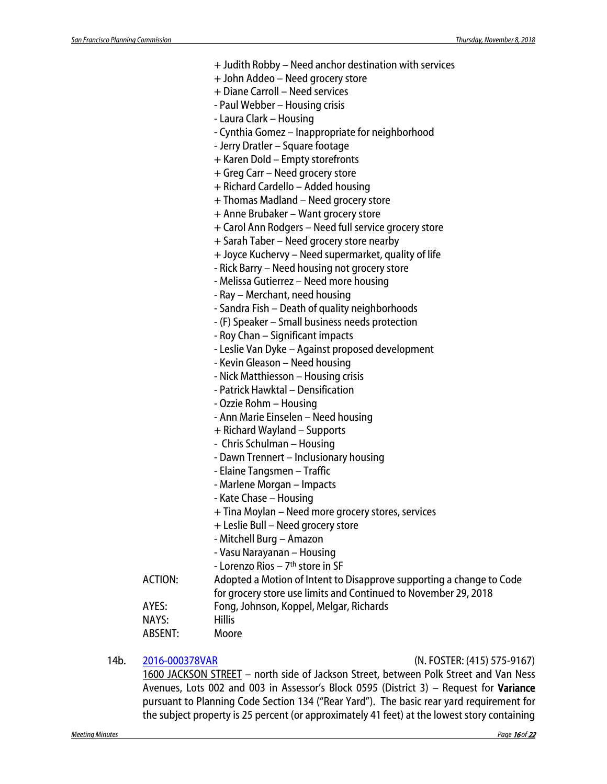|                | + Judith Robby – Need anchor destination with services                                                     |
|----------------|------------------------------------------------------------------------------------------------------------|
|                | + John Addeo - Need grocery store                                                                          |
|                | + Diane Carroll - Need services                                                                            |
|                | - Paul Webber - Housing crisis                                                                             |
|                | - Laura Clark - Housing                                                                                    |
|                | - Cynthia Gomez - Inappropriate for neighborhood                                                           |
|                | - Jerry Dratler - Square footage                                                                           |
|                | + Karen Dold - Empty storefronts                                                                           |
|                | + Greg Carr - Need grocery store                                                                           |
|                | + Richard Cardello - Added housing                                                                         |
|                | + Thomas Madland - Need grocery store                                                                      |
|                | + Anne Brubaker - Want grocery store                                                                       |
|                | + Carol Ann Rodgers - Need full service grocery store                                                      |
|                | + Sarah Taber - Need grocery store nearby                                                                  |
|                | + Joyce Kuchervy - Need supermarket, quality of life                                                       |
|                | - Rick Barry - Need housing not grocery store                                                              |
|                | - Melissa Gutierrez - Need more housing                                                                    |
|                | - Ray - Merchant, need housing                                                                             |
|                | - Sandra Fish - Death of quality neighborhoods                                                             |
|                | - (F) Speaker – Small business needs protection                                                            |
|                | - Roy Chan - Significant impacts                                                                           |
|                | - Leslie Van Dyke - Against proposed development                                                           |
|                | - Kevin Gleason - Need housing                                                                             |
|                | - Nick Matthiesson - Housing crisis                                                                        |
|                | - Patrick Hawktal - Densification                                                                          |
|                | - Ozzie Rohm - Housing                                                                                     |
|                | - Ann Marie Einselen – Need housing                                                                        |
|                | + Richard Wayland – Supports                                                                               |
|                | - Chris Schulman - Housing                                                                                 |
|                | - Dawn Trennert - Inclusionary housing                                                                     |
|                | - Elaine Tangsmen – Traffic                                                                                |
|                | - Marlene Morgan - Impacts                                                                                 |
|                | - Kate Chase - Housing                                                                                     |
|                | + Tina Moylan - Need more grocery stores, services                                                         |
|                | + Leslie Bull - Need grocery store                                                                         |
|                | - Mitchell Burg - Amazon                                                                                   |
|                | - Vasu Narayanan - Housing                                                                                 |
|                | - Lorenzo Rios - 7 <sup>th</sup> store in SF                                                               |
| <b>ACTION:</b> |                                                                                                            |
|                | Adopted a Motion of Intent to Disapprove supporting a change to Code                                       |
| AYES:          | for grocery store use limits and Continued to November 29, 2018<br>Fong, Johnson, Koppel, Melgar, Richards |
| NAYS:          | <b>Hillis</b>                                                                                              |
| <b>ABSENT:</b> | Moore                                                                                                      |
|                |                                                                                                            |

### 14b. [2016-000378VAR](http://commissions.sfplanning.org/cpcpackets/2016-000378CUAVAR.pdf) (N. FOSTER: (415) 575-9167)

1600 JACKSON STREET – north side of Jackson Street, between Polk Street and Van Ness Avenues, Lots 002 and 003 in Assessor's Block 0595 (District 3) – Request for Variance pursuant to Planning Code Section 134 ("Rear Yard"). The basic rear yard requirement for the subject property is 25 percent (or approximately 41 feet) at the lowest story containing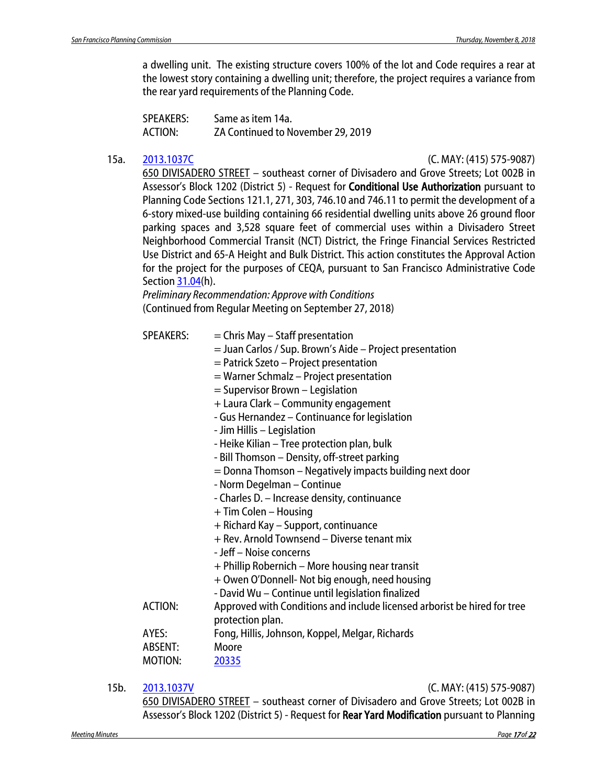a dwelling unit. The existing structure covers 100% of the lot and Code requires a rear at the lowest story containing a dwelling unit; therefore, the project requires a variance from the rear yard requirements of the Planning Code.

SPEAKERS: Same as item 14a. ACTION: ZA Continued to November 29, 2019

15a. [2013.1037C](http://commissions.sfplanning.org/cpcpackets/2013.1037Cc1.pdf) (C. MAY: (415) 575-9087)

650 DIVISADERO STREET – southeast corner of Divisadero and Grove Streets; Lot 002B in Assessor's Block 1202 (District 5) - Request for Conditional Use Authorization pursuant to Planning Code Sections 121.1, 271, 303, 746.10 and 746.11 to permit the development of a 6-story mixed-use building containing 66 residential dwelling units above 26 ground floor parking spaces and 3,528 square feet of commercial uses within a Divisadero Street Neighborhood Commercial Transit (NCT) District, the Fringe Financial Services Restricted Use District and 65-A Height and Bulk District. This action constitutes the Approval Action for the project for the purposes of CEQA, pursuant to San Francisco Administrative Code Sectio[n 31.04\(](http://library.amlegal.com/nxt/gateway.dll/California/administrative/chapter31californiaenvironmentalqualitya?f=templates$fn=default.htm$3.0$vid=amlegal:sanfrancisco_ca$anc=JD_31.04)h).

*Preliminary Recommendation: Approve with Conditions* (Continued from Regular Meeting on September 27, 2018)

- $SPEAKERS: = Chris May Staff presentation$ 
	- = Juan Carlos / Sup. Brown's Aide Project presentation
	- = Patrick Szeto Project presentation
	- = Warner Schmalz Project presentation
	- = Supervisor Brown Legislation
	- + Laura Clark Community engagement
	- Gus Hernandez Continuance for legislation
	- Jim Hillis Legislation
	- Heike Kilian Tree protection plan, bulk
	- Bill Thomson Density, off-street parking
	- = Donna Thomson Negatively impacts building next door
	- Norm Degelman Continue
	- Charles D. Increase density, continuance
	- + Tim Colen Housing
	- + Richard Kay Support, continuance
	- + Rev. Arnold Townsend Diverse tenant mix
	- Jeff Noise concerns
	- + Phillip Robernich More housing near transit
	- + Owen O'Donnell- Not big enough, need housing
	- David Wu Continue until legislation finalized
- ACTION: Approved with Conditions and include licensed arborist be hired for tree protection plan.
- AYES: Fong, Hillis, Johnson, Koppel, Melgar, Richards
- ABSENT: Moore

MOTION: [20335](http://citypln-m-extnl.sfgov.org/link.ashx?Action=Download&ObjectVersion=-1&vault=%7bA4A7DACD-B0DC-4322-BD29-F6F07103C6E0%7d&objectGUID=%7bEBFC7F17-4F44-4B1E-900B-792F21BD8354%7d&fileGUID=%7b2DDDADDB-DAC8-429D-864B-26B8618F8B9B%7d)

15b. [2013.1037V](http://commissions.sfplanning.org/cpcpackets/2013.1037Cc1.pdf) (C. MAY: (415) 575-9087)

650 DIVISADERO STREET – southeast corner of Divisadero and Grove Streets; Lot 002B in Assessor's Block 1202 (District 5) - Request for Rear Yard Modification pursuant to Planning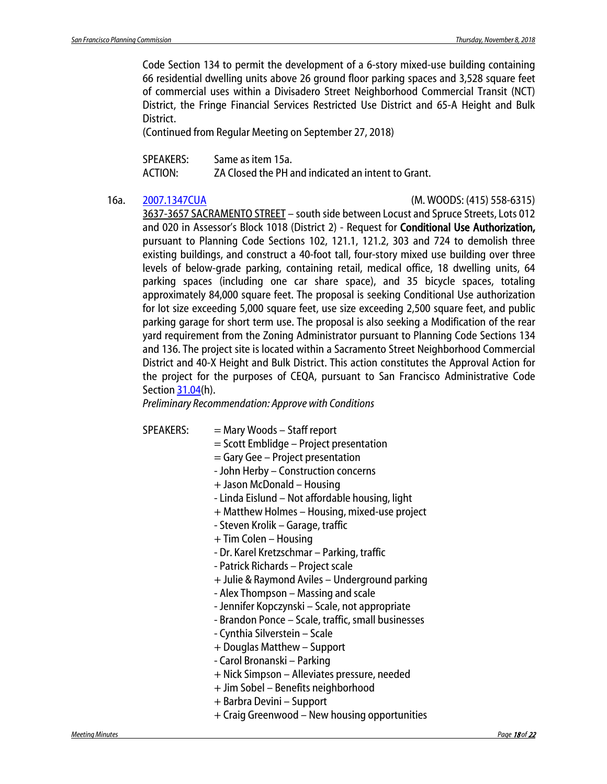Code Section 134 to permit the development of a 6-story mixed-use building containing 66 residential dwelling units above 26 ground floor parking spaces and 3,528 square feet of commercial uses within a Divisadero Street Neighborhood Commercial Transit (NCT) District, the Fringe Financial Services Restricted Use District and 65-A Height and Bulk District.

(Continued from Regular Meeting on September 27, 2018)

| SPEAKERS: | Same as item 15a.                                  |
|-----------|----------------------------------------------------|
| ACTION:   | ZA Closed the PH and indicated an intent to Grant. |

#### 16a. [2007.1347CUA](http://commissions.sfplanning.org/cpcpackets/2007.1347CUAVAR.pdf) (M. WOODS: (415) 558-6315)

3637-3657 SACRAMENTO STREET – south side between Locust and Spruce Streets, Lots 012 and 020 in Assessor's Block 1018 (District 2) - Request for Conditional Use Authorization, pursuant to Planning Code Sections 102, 121.1, 121.2, 303 and 724 to demolish three existing buildings, and construct a 40-foot tall, four-story mixed use building over three levels of below-grade parking, containing retail, medical office, 18 dwelling units, 64 parking spaces (including one car share space), and 35 bicycle spaces, totaling approximately 84,000 square feet. The proposal is seeking Conditional Use authorization for lot size exceeding 5,000 square feet, use size exceeding 2,500 square feet, and public parking garage for short term use. The proposal is also seeking a Modification of the rear yard requirement from the Zoning Administrator pursuant to Planning Code Sections 134 and 136. The project site is located within a Sacramento Street Neighborhood Commercial District and 40-X Height and Bulk District. This action constitutes the Approval Action for the project for the purposes of CEQA, pursuant to San Francisco Administrative Code Sectio[n 31.04\(](http://library.amlegal.com/nxt/gateway.dll/California/administrative/chapter31californiaenvironmentalqualitya?f=templates$fn=default.htm$3.0$vid=amlegal:sanfrancisco_ca$anc=JD_31.04)h).

*Preliminary Recommendation: Approve with Conditions*

- SPEAKERS: = Mary Woods Staff report
	- = Scott Emblidge Project presentation
	- = Gary Gee Project presentation
	- John Herby Construction concerns
	- + Jason McDonald Housing
	- Linda Eislund Not affordable housing, light
	- + Matthew Holmes Housing, mixed-use project
	- Steven Krolik Garage, traffic
	- + Tim Colen Housing
	- Dr. Karel Kretzschmar Parking, traffic
	- Patrick Richards Project scale
	- + Julie & Raymond Aviles Underground parking
	- Alex Thompson Massing and scale
	- Jennifer Kopczynski Scale, not appropriate
	- Brandon Ponce Scale, traffic, small businesses
	- Cynthia Silverstein Scale
	- + Douglas Matthew Support
	- Carol Bronanski Parking
	- + Nick Simpson Alleviates pressure, needed
	- + Jim Sobel Benefits neighborhood
	- + Barbra Devini Support
	- + Craig Greenwood New housing opportunities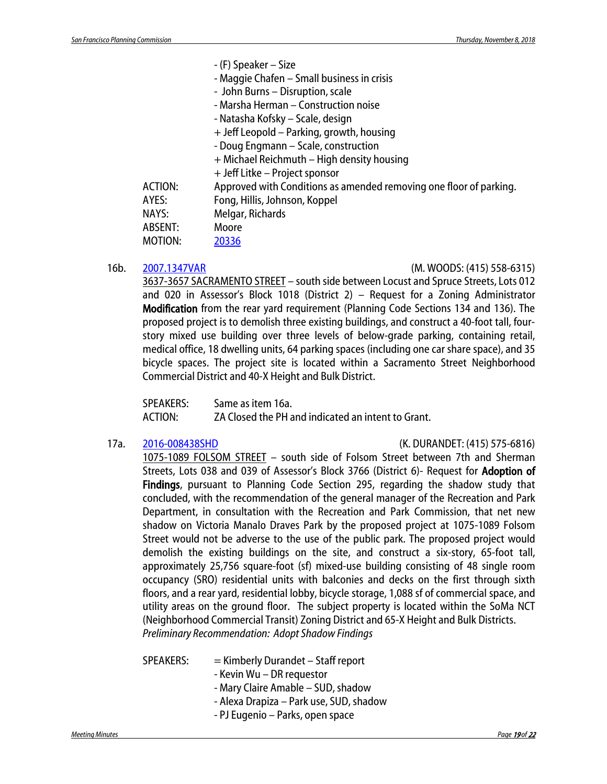| - (F) Speaker – Size                                               |
|--------------------------------------------------------------------|
| - Maggie Chafen - Small business in crisis                         |
| - John Burns - Disruption, scale                                   |
| - Marsha Herman - Construction noise                               |
| - Natasha Kofsky – Scale, design                                   |
| + Jeff Leopold – Parking, growth, housing                          |
| - Doug Engmann - Scale, construction                               |
| + Michael Reichmuth – High density housing                         |
| + Jeff Litke – Project sponsor                                     |
| Approved with Conditions as amended removing one floor of parking. |
| Fong, Hillis, Johnson, Koppel                                      |
| Melgar, Richards                                                   |
| Moore                                                              |
| 20336                                                              |
|                                                                    |

#### 16b. [2007.1347VAR](http://commissions.sfplanning.org/cpcpackets/2007.1347CUAVAR.pdf) (M. WOODS: (415) 558-6315)

3637-3657 SACRAMENTO STREET – south side between Locust and Spruce Streets, Lots 012 and 020 in Assessor's Block 1018 (District 2) – Request for a Zoning Administrator Modification from the rear yard requirement (Planning Code Sections 134 and 136). The proposed project is to demolish three existing buildings, and construct a 40-foot tall, fourstory mixed use building over three levels of below-grade parking, containing retail, medical office, 18 dwelling units, 64 parking spaces (including one car share space), and 35 bicycle spaces. The project site is located within a Sacramento Street Neighborhood Commercial District and 40-X Height and Bulk District.

SPEAKERS: Same as item 16a. ACTION: ZA Closed the PH and indicated an intent to Grant.

#### 17a. [2016-008438SHD](http://commissions.sfplanning.org/cpcpackets/2016-008438SHDDRP.pdf) (K. DURANDET: (415) 575-6816)

1075-1089 FOLSOM STREET – south side of Folsom Street between 7th and Sherman Streets, Lots 038 and 039 of Assessor's Block 3766 (District 6)- Request for Adoption of Findings, pursuant to Planning Code Section 295, regarding the shadow study that concluded, with the recommendation of the general manager of the Recreation and Park Department, in consultation with the Recreation and Park Commission, that net new shadow on Victoria Manalo Draves Park by the proposed project at 1075-1089 Folsom Street would not be adverse to the use of the public park. The proposed project would demolish the existing buildings on the site, and construct a six-story, 65-foot tall, approximately 25,756 square-foot (sf) mixed-use building consisting of 48 single room occupancy (SRO) residential units with balconies and decks on the first through sixth floors, and a rear yard, residential lobby, bicycle storage, 1,088 sf of commercial space, and utility areas on the ground floor. The subject property is located within the SoMa NCT (Neighborhood Commercial Transit) Zoning District and 65-X Height and Bulk Districts. *Preliminary Recommendation: Adopt Shadow Findings*

SPEAKERS: = Kimberly Durandet – Staff report

- Kevin Wu DR requestor
- Mary Claire Amable SUD, shadow
- Alexa Drapiza Park use, SUD, shadow
- PJ Eugenio Parks, open space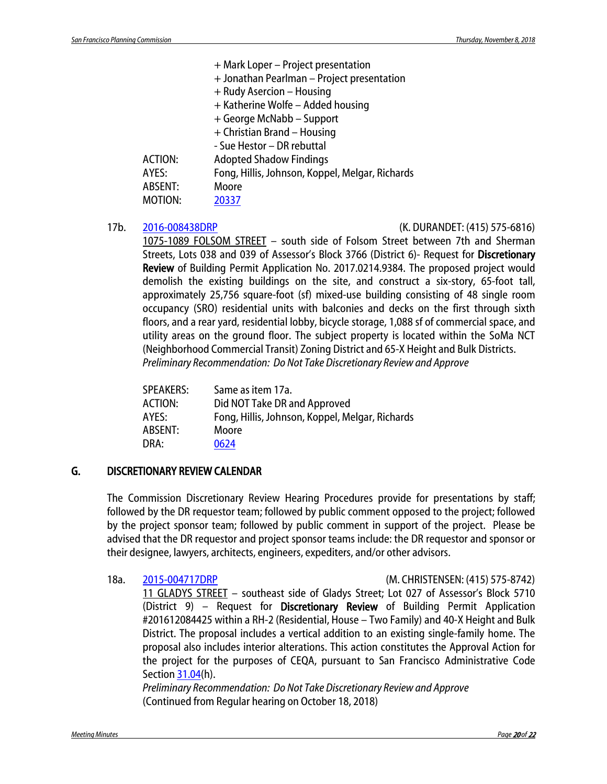|         | + Mark Loper - Project presentation             |
|---------|-------------------------------------------------|
|         | + Jonathan Pearlman - Project presentation      |
|         | + Rudy Asercion - Housing                       |
|         | + Katherine Wolfe - Added housing               |
|         | + George McNabb - Support                       |
|         | + Christian Brand - Housing                     |
|         | - Sue Hestor - DR rebuttal                      |
| ACTION: | <b>Adopted Shadow Findings</b>                  |
| AYES:   | Fong, Hillis, Johnson, Koppel, Melgar, Richards |
| ABSENT: | Moore                                           |
| MOTION: | 20337                                           |
|         |                                                 |

#### 17b. [2016-008438DRP](http://commissions.sfplanning.org/cpcpackets/2016-008438SHDDRP.pdf) (K. DURANDET: (415) 575-6816)

1075-1089 FOLSOM STREET – south side of Folsom Street between 7th and Sherman Streets, Lots 038 and 039 of Assessor's Block 3766 (District 6)- Request for Discretionary Review of Building Permit Application No. 2017.0214.9384. The proposed project would demolish the existing buildings on the site, and construct a six-story, 65-foot tall, approximately 25,756 square-foot (sf) mixed-use building consisting of 48 single room occupancy (SRO) residential units with balconies and decks on the first through sixth floors, and a rear yard, residential lobby, bicycle storage, 1,088 sf of commercial space, and utility areas on the ground floor. The subject property is located within the SoMa NCT (Neighborhood Commercial Transit) Zoning District and 65-X Height and Bulk Districts. *Preliminary Recommendation: Do Not Take Discretionary Review and Approve*

| <b>SPEAKERS:</b> | Same as item 17a.                               |
|------------------|-------------------------------------------------|
| <b>ACTION:</b>   | Did NOT Take DR and Approved                    |
| AYES:            | Fong, Hillis, Johnson, Koppel, Melgar, Richards |
| ABSENT:          | Moore                                           |
| DRA:             | 0624                                            |
|                  |                                                 |

### G. DISCRETIONARY REVIEW CALENDAR

The Commission Discretionary Review Hearing Procedures provide for presentations by staff; followed by the DR requestor team; followed by public comment opposed to the project; followed by the project sponsor team; followed by public comment in support of the project. Please be advised that the DR requestor and project sponsor teams include: the DR requestor and sponsor or their designee, lawyers, architects, engineers, expediters, and/or other advisors.

18a. [2015-004717DRP](http://commissions.sfplanning.org/cpcpackets/2015-004717DRPVAR.pdf) (M. CHRISTENSEN: (415) 575-8742) 11 GLADYS STREET – southeast side of Gladys Street; Lot 027 of Assessor's Block 5710 (District 9) – Request for Discretionary Review of Building Permit Application #201612084425 within a RH-2 (Residential, House – Two Family) and 40-X Height and Bulk District. The proposal includes a vertical addition to an existing single-family home. The proposal also includes interior alterations. This action constitutes the Approval Action for the project for the purposes of CEQA, pursuant to San Francisco Administrative Code Sectio[n 31.04\(](http://library.amlegal.com/nxt/gateway.dll/California/administrative/chapter31californiaenvironmentalqualitya?f=templates$fn=default.htm$3.0$vid=amlegal:sanfrancisco_ca$anc=JD_31.04)h).

*Preliminary Recommendation: Do Not Take Discretionary Review and Approve* (Continued from Regular hearing on October 18, 2018)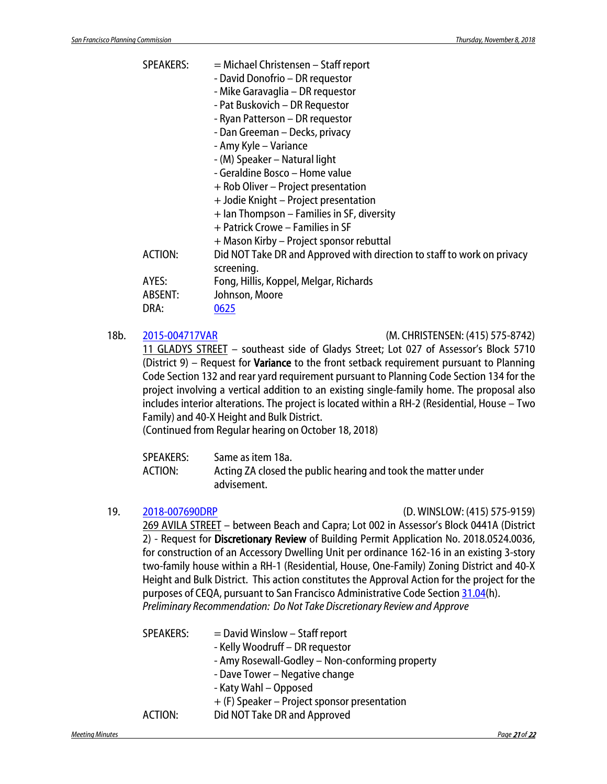| <b>SPEAKERS:</b> | = Michael Christensen - Staff report<br>- David Donofrio - DR requestor               |
|------------------|---------------------------------------------------------------------------------------|
|                  | - Mike Garavaglia – DR requestor                                                      |
|                  | - Pat Buskovich - DR Requestor                                                        |
|                  | - Ryan Patterson - DR requestor                                                       |
|                  | - Dan Greeman – Decks, privacy                                                        |
|                  | - Amy Kyle - Variance                                                                 |
|                  | - (M) Speaker – Natural light                                                         |
|                  | - Geraldine Bosco – Home value                                                        |
|                  | + Rob Oliver – Project presentation                                                   |
|                  | + Jodie Knight – Project presentation                                                 |
|                  | + Ian Thompson – Families in SF, diversity                                            |
|                  | + Patrick Crowe – Families in SF                                                      |
|                  | + Mason Kirby - Project sponsor rebuttal                                              |
| <b>ACTION:</b>   | Did NOT Take DR and Approved with direction to staff to work on privacy<br>screening. |
| AYES:            | Fong, Hillis, Koppel, Melgar, Richards                                                |
| ABSENT:          | Johnson, Moore                                                                        |
| DRA:             | 0625                                                                                  |
|                  |                                                                                       |

#### 18b. [2015-004717VAR](http://commissions.sfplanning.org/cpcpackets/2015-004717DRPVAR.pdf) (M. CHRISTENSEN: (415) 575-8742)

11 GLADYS STREET – southeast side of Gladys Street; Lot 027 of Assessor's Block 5710 (District 9) – Request for **Variance** to the front setback requirement pursuant to Planning Code Section 132 and rear yard requirement pursuant to Planning Code Section 134 for the project involving a vertical addition to an existing single-family home. The proposal also includes interior alterations. The project is located within a RH-2 (Residential, House – Two Family) and 40-X Height and Bulk District.

(Continued from Regular hearing on October 18, 2018)

| SPEAKERS: | Same as item 18a.                                             |
|-----------|---------------------------------------------------------------|
| ACTION:   | Acting ZA closed the public hearing and took the matter under |
|           | advisement.                                                   |

#### 19. [2018-007690DRP](http://commissions.sfplanning.org/cpcpackets/2018-007690DRP.pdf) (D. WINSLOW: (415) 575-9159)

269 AVILA STREET – between Beach and Capra; Lot 002 in Assessor's Block 0441A (District 2) - Request for Discretionary Review of Building Permit Application No. 2018.0524.0036, for construction of an Accessory Dwelling Unit per ordinance 162-16 in an existing 3-story two-family house within a RH-1 (Residential, House, One-Family) Zoning District and 40-X Height and Bulk District. This action constitutes the Approval Action for the project for the purposes of CEQA, pursuant to San Francisco Administrative Code Section [31.04\(](http://library.amlegal.com/nxt/gateway.dll/California/administrative/chapter31californiaenvironmentalqualitya?f=templates$fn=default.htm$3.0$vid=amlegal:sanfrancisco_ca$anc=JD_31.04)h). *Preliminary Recommendation: Do Not Take Discretionary Review and Approve*

| <b>SPEAKERS:</b> | $=$ David Winslow $-$ Staff report              |
|------------------|-------------------------------------------------|
|                  | - Kelly Woodruff - DR requestor                 |
|                  | - Amy Rosewall-Godley - Non-conforming property |
|                  | - Dave Tower – Negative change                  |
|                  | - Katy Wahl - Opposed                           |
|                  | + (F) Speaker – Project sponsor presentation    |
| ACTION:          | Did NOT Take DR and Approved                    |